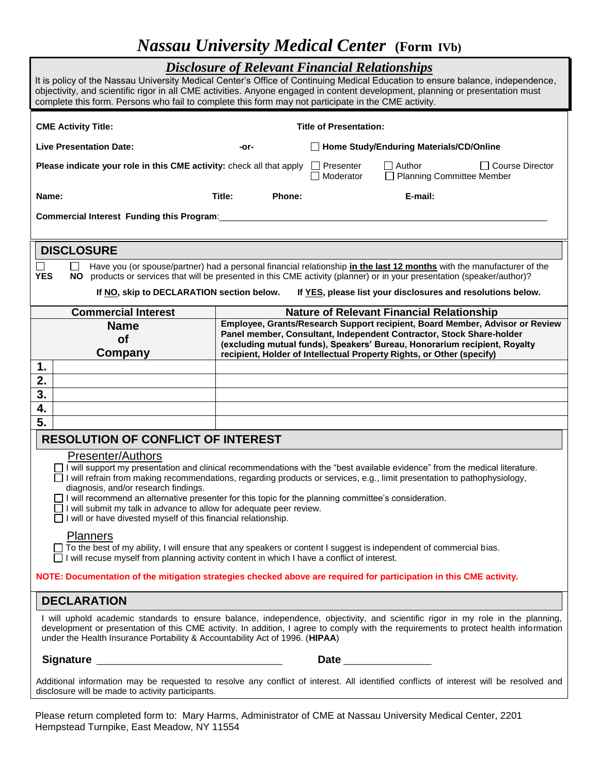# *Nassau University Medical Center* **(Form IVb)**

| <b>Disclosure of Relevant Financial Relationships</b><br>It is policy of the Nassau University Medical Center's Office of Continuing Medical Education to ensure balance, independence,<br>objectivity, and scientific rigor in all CME activities. Anyone engaged in content development, planning or presentation must<br>complete this form. Persons who fail to complete this form may not participate in the CME activity.                                                                                                                                                              |                                                                                                                                                      |                                           |                                                                                                                                                    |
|----------------------------------------------------------------------------------------------------------------------------------------------------------------------------------------------------------------------------------------------------------------------------------------------------------------------------------------------------------------------------------------------------------------------------------------------------------------------------------------------------------------------------------------------------------------------------------------------|------------------------------------------------------------------------------------------------------------------------------------------------------|-------------------------------------------|----------------------------------------------------------------------------------------------------------------------------------------------------|
| <b>CME Activity Title:</b><br><b>Title of Presentation:</b>                                                                                                                                                                                                                                                                                                                                                                                                                                                                                                                                  |                                                                                                                                                      |                                           |                                                                                                                                                    |
| <b>Live Presentation Date:</b>                                                                                                                                                                                                                                                                                                                                                                                                                                                                                                                                                               | -or-                                                                                                                                                 | □ Home Study/Enduring Materials/CD/Online |                                                                                                                                                    |
| Please indicate your role in this CME activity: check all that apply                                                                                                                                                                                                                                                                                                                                                                                                                                                                                                                         |                                                                                                                                                      | I I Presenter<br>Moderator                | $\Box$ Author<br>□ Course Director<br><b>Planning Committee Member</b>                                                                             |
| Name:                                                                                                                                                                                                                                                                                                                                                                                                                                                                                                                                                                                        | Title:<br><b>Phone:</b>                                                                                                                              |                                           | E-mail:                                                                                                                                            |
| Commercial Interest Funding this Program:                                                                                                                                                                                                                                                                                                                                                                                                                                                                                                                                                    |                                                                                                                                                      |                                           |                                                                                                                                                    |
| <b>DISCLOSURE</b>                                                                                                                                                                                                                                                                                                                                                                                                                                                                                                                                                                            |                                                                                                                                                      |                                           |                                                                                                                                                    |
| Have you (or spouse/partner) had a personal financial relationship in the last 12 months with the manufacturer of the<br><b>YES</b><br>products or services that will be presented in this CME activity (planner) or in your presentation (speaker/author)?<br>NO.                                                                                                                                                                                                                                                                                                                           |                                                                                                                                                      |                                           |                                                                                                                                                    |
| If NO, skip to DECLARATION section below.<br>If YES, please list your disclosures and resolutions below.                                                                                                                                                                                                                                                                                                                                                                                                                                                                                     |                                                                                                                                                      |                                           |                                                                                                                                                    |
| <b>Commercial Interest</b>                                                                                                                                                                                                                                                                                                                                                                                                                                                                                                                                                                   | <b>Nature of Relevant Financial Relationship</b>                                                                                                     |                                           |                                                                                                                                                    |
| <b>Name</b>                                                                                                                                                                                                                                                                                                                                                                                                                                                                                                                                                                                  | Employee, Grants/Research Support recipient, Board Member, Advisor or Review<br>Panel member, Consultant, Independent Contractor, Stock Share-holder |                                           |                                                                                                                                                    |
| <b>of</b><br>Company                                                                                                                                                                                                                                                                                                                                                                                                                                                                                                                                                                         |                                                                                                                                                      |                                           | (excluding mutual funds), Speakers' Bureau, Honorarium recipient, Royalty<br>recipient, Holder of Intellectual Property Rights, or Other (specify) |
| 1.                                                                                                                                                                                                                                                                                                                                                                                                                                                                                                                                                                                           |                                                                                                                                                      |                                           |                                                                                                                                                    |
| 2.                                                                                                                                                                                                                                                                                                                                                                                                                                                                                                                                                                                           |                                                                                                                                                      |                                           |                                                                                                                                                    |
| 3.                                                                                                                                                                                                                                                                                                                                                                                                                                                                                                                                                                                           |                                                                                                                                                      |                                           |                                                                                                                                                    |
| 4.                                                                                                                                                                                                                                                                                                                                                                                                                                                                                                                                                                                           |                                                                                                                                                      |                                           |                                                                                                                                                    |
| 5.                                                                                                                                                                                                                                                                                                                                                                                                                                                                                                                                                                                           |                                                                                                                                                      |                                           |                                                                                                                                                    |
| <b>RESOLUTION OF CONFLICT OF INTEREST</b>                                                                                                                                                                                                                                                                                                                                                                                                                                                                                                                                                    |                                                                                                                                                      |                                           |                                                                                                                                                    |
| Presenter/Authors<br>□ I will support my presentation and clinical recommendations with the "best available evidence" from the medical literature.<br>I will refrain from making recommendations, regarding products or services, e.g., limit presentation to pathophysiology,<br>diagnosis, and/or research findings.<br>$\Box$ I will recommend an alternative presenter for this topic for the planning committee's consideration.<br>$\Box$ I will submit my talk in advance to allow for adequate peer review.<br>$\Box$ I will or have divested myself of this financial relationship. |                                                                                                                                                      |                                           |                                                                                                                                                    |
| <b>Planners</b><br>$\Box$ To the best of my ability, I will ensure that any speakers or content I suggest is independent of commercial bias.<br>I will recuse myself from planning activity content in which I have a conflict of interest.                                                                                                                                                                                                                                                                                                                                                  |                                                                                                                                                      |                                           |                                                                                                                                                    |
| NOTE: Documentation of the mitigation strategies checked above are required for participation in this CME activity.                                                                                                                                                                                                                                                                                                                                                                                                                                                                          |                                                                                                                                                      |                                           |                                                                                                                                                    |
| <b>DECLARATION</b>                                                                                                                                                                                                                                                                                                                                                                                                                                                                                                                                                                           |                                                                                                                                                      |                                           |                                                                                                                                                    |
| I will uphold academic standards to ensure balance, independence, objectivity, and scientific rigor in my role in the planning,<br>development or presentation of this CME activity. In addition, I agree to comply with the requirements to protect health information<br>under the Health Insurance Portability & Accountability Act of 1996. (HIPAA)                                                                                                                                                                                                                                      |                                                                                                                                                      |                                           |                                                                                                                                                    |
|                                                                                                                                                                                                                                                                                                                                                                                                                                                                                                                                                                                              |                                                                                                                                                      | Date <b>Date</b>                          |                                                                                                                                                    |
| Additional information may be requested to resolve any conflict of interest. All identified conflicts of interest will be resolved and<br>disclosure will be made to activity participants.                                                                                                                                                                                                                                                                                                                                                                                                  |                                                                                                                                                      |                                           |                                                                                                                                                    |
|                                                                                                                                                                                                                                                                                                                                                                                                                                                                                                                                                                                              |                                                                                                                                                      |                                           |                                                                                                                                                    |

Please return completed form to: Mary Harms, Administrator of CME at Nassau University Medical Center, 2201 Hempstead Turnpike, East Meadow, NY 11554